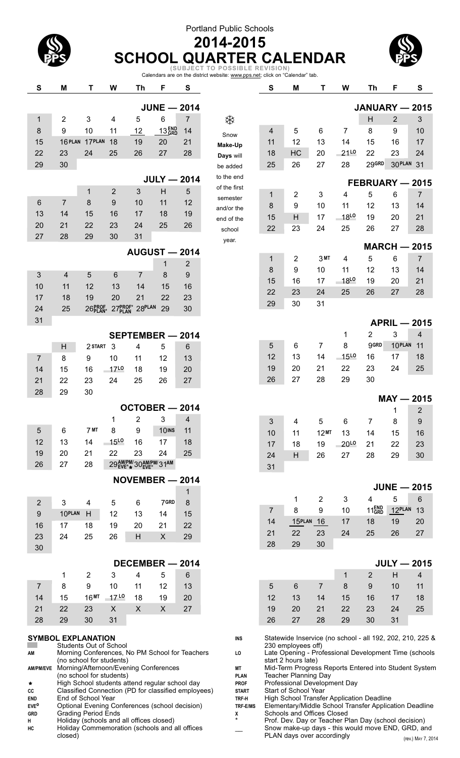### Portland Public Schools



# **2014-2015 SCHOOL QUARTER CALENDAR (SUBJECT TO POSSIBLE REVISION)**

Calendars are on the district website: www.pps.net; click on "Calendar" tab.

| S                                                                                                                                                                       | M                                                                    | Τ                | W              | Th                                                                                         | F                 | S                 |                       | S                                                                                                   | Μ                                                                                                         | Т              | W                   | Th                                                    | F          | S                   |
|-------------------------------------------------------------------------------------------------------------------------------------------------------------------------|----------------------------------------------------------------------|------------------|----------------|--------------------------------------------------------------------------------------------|-------------------|-------------------|-----------------------|-----------------------------------------------------------------------------------------------------|-----------------------------------------------------------------------------------------------------------|----------------|---------------------|-------------------------------------------------------|------------|---------------------|
|                                                                                                                                                                         |                                                                      |                  |                |                                                                                            | $JUNE - 2014$     |                   |                       |                                                                                                     |                                                                                                           |                |                     | <b>JANUARY - 2015</b>                                 |            |                     |
| $\mathbf 1$                                                                                                                                                             | 2                                                                    | 3                | 4              | 5                                                                                          | 6                 | $\overline{7}$    | ఘ                     |                                                                                                     |                                                                                                           |                |                     | H                                                     | 2          | 3                   |
| 8                                                                                                                                                                       | 9                                                                    | 10               | 11             | 12                                                                                         | 13 <sub>GRD</sub> | 14                |                       | 4                                                                                                   | 5                                                                                                         | 6              | 7                   | 8                                                     | 9          | 10                  |
| 15                                                                                                                                                                      | 16 PLAN                                                              | 17PLAN           | 18             | 19                                                                                         | 20                | 21                | Snow                  | 11                                                                                                  | 12                                                                                                        | 13             | 14                  | 15                                                    | 16         | 17                  |
| 22                                                                                                                                                                      | 23                                                                   | 24               | 25             | 26                                                                                         | 27                | 28                | Make-Up               | 18                                                                                                  | HC                                                                                                        | 20             | $21^{L0}$           | 22                                                    | 23         | 24                  |
| 29                                                                                                                                                                      | 30                                                                   |                  |                |                                                                                            |                   |                   | Days will<br>be added | 25                                                                                                  | 26                                                                                                        | 27             | 28                  | 29GRD                                                 | 30 PLAN 31 |                     |
|                                                                                                                                                                         |                                                                      |                  |                |                                                                                            | $JULY - 2014$     |                   | to the end            |                                                                                                     |                                                                                                           |                |                     |                                                       |            |                     |
|                                                                                                                                                                         |                                                                      | 1                | $\overline{2}$ | 3                                                                                          | H                 | 5                 | of the first          |                                                                                                     |                                                                                                           |                |                     | FEBRUARY - 2015                                       |            |                     |
| 6                                                                                                                                                                       | $\overline{7}$                                                       | 8                | 9              | 10                                                                                         | 11                | 12                | semester              | 1                                                                                                   | 2                                                                                                         | 3              | 4                   | 5                                                     | 6          | 7                   |
| 13                                                                                                                                                                      | 14                                                                   | 15               | 16             | 17                                                                                         | 18                | 19                | and/or the            | 8                                                                                                   | 9                                                                                                         | 10             | 11                  | 12                                                    | 13         | 14                  |
| 20                                                                                                                                                                      | 21                                                                   | 22               | 23             | 24                                                                                         | 25                | 26                | end of the            | 15                                                                                                  | H                                                                                                         | 17             | 18L0                | 19                                                    | 20         | 21                  |
| 27                                                                                                                                                                      | 28                                                                   | 29               | 30             | 31                                                                                         |                   |                   | school                | 22                                                                                                  | 23                                                                                                        | 24             | 25                  | 26                                                    | 27         | 28                  |
|                                                                                                                                                                         |                                                                      |                  |                | <b>AUGUST - 2014</b>                                                                       |                   |                   | year.                 |                                                                                                     |                                                                                                           |                |                     | <b>MARCH - 2015</b>                                   |            |                     |
|                                                                                                                                                                         |                                                                      |                  |                |                                                                                            | 1                 | $\overline{2}$    |                       | 1                                                                                                   | 2                                                                                                         | 3MT            | 4                   | 5                                                     | 6          | $\overline{7}$      |
|                                                                                                                                                                         |                                                                      |                  |                | $\overline{7}$                                                                             |                   |                   |                       | 8                                                                                                   | 9                                                                                                         | 10             | 11                  | 12                                                    | 13         | 14                  |
| 3                                                                                                                                                                       | 4                                                                    | 5                | 6              |                                                                                            | 8                 | 9                 |                       | 15                                                                                                  | 16                                                                                                        | 17             | $-18$ <sup>LO</sup> | 19                                                    | 20         | 21                  |
| 10                                                                                                                                                                      | 11                                                                   | 12<br>19         | 13             | 14                                                                                         | 15                | 16                |                       | 22                                                                                                  | 23                                                                                                        | 24             | 25                  | 26                                                    | 27         | 28                  |
| 17                                                                                                                                                                      | 18                                                                   |                  | 20             | 21                                                                                         | 22                | 23                |                       | 29                                                                                                  | 30                                                                                                        | 31             |                     |                                                       |            |                     |
| 24                                                                                                                                                                      | 25                                                                   | 26PROF           |                | 27PROF* 28PLAN                                                                             | 29                | 30                |                       |                                                                                                     |                                                                                                           |                |                     |                                                       |            |                     |
| 31                                                                                                                                                                      |                                                                      |                  |                |                                                                                            |                   |                   |                       |                                                                                                     |                                                                                                           |                |                     |                                                       |            | <b>APRIL - 2015</b> |
|                                                                                                                                                                         |                                                                      |                  |                | SEPTEMBER - 2014                                                                           |                   |                   |                       |                                                                                                     |                                                                                                           |                | 1                   | 2                                                     | 3          | 4                   |
|                                                                                                                                                                         | H                                                                    | 2 START          | 3              | 4                                                                                          | 5                 | 6                 |                       | 5                                                                                                   | 6                                                                                                         | $\overline{7}$ | 8                   | <b>9GRD</b>                                           | 10PLAN     | 11                  |
| $\overline{7}$                                                                                                                                                          | 8                                                                    | 9                | 10             | 11                                                                                         | 12                | 13                |                       | 12                                                                                                  | 13                                                                                                        | 14             | 15L0                | 16                                                    | 17         | 18                  |
| 14                                                                                                                                                                      | 15                                                                   | 16               | 17L0           | 18                                                                                         | 19                | 20                |                       | 19                                                                                                  | 20                                                                                                        | 21             | 22                  | 23                                                    | 24         | 25                  |
| 21                                                                                                                                                                      | 22                                                                   | 23               | 24             | 25                                                                                         | 26                | 27                |                       | 26                                                                                                  | 27                                                                                                        | 28             | 29                  | 30                                                    |            |                     |
| 28                                                                                                                                                                      | 29                                                                   | 30               |                |                                                                                            |                   |                   |                       |                                                                                                     |                                                                                                           |                |                     |                                                       |            | $MAY - 2015$        |
|                                                                                                                                                                         |                                                                      |                  |                | OCTOBER - 2014                                                                             |                   |                   |                       |                                                                                                     |                                                                                                           |                |                     |                                                       |            | $\overline{2}$      |
|                                                                                                                                                                         |                                                                      |                  | 1              | 2                                                                                          | 3                 | 4                 |                       | 3                                                                                                   | 4                                                                                                         | $5^{\circ}$    | 6                   | 7                                                     | 8          | 9                   |
| 5                                                                                                                                                                       | 6                                                                    | 7 <sub>MT</sub>  | 8              | 9                                                                                          | 10 <sub>INS</sub> | 11                |                       | 10                                                                                                  | 11                                                                                                        | 12MT           | 13                  | 14                                                    | 15         | 16                  |
| 12                                                                                                                                                                      | 13                                                                   | 14               | 15L0           | 16                                                                                         | 17                | 18                |                       | 17                                                                                                  | 18                                                                                                        | 19             | 20L0                | 21                                                    | 22         | 23                  |
| 19                                                                                                                                                                      | 20                                                                   | 21               | 22             | 23                                                                                         | 24                | 25                |                       | 24                                                                                                  | H                                                                                                         | 26             | 27                  | 28                                                    | 29         | 30                  |
| 26                                                                                                                                                                      | 27                                                                   | 28               |                | 29 AM/PM/30 AM/PM/31AM                                                                     |                   |                   |                       | 31                                                                                                  |                                                                                                           |                |                     |                                                       |            |                     |
|                                                                                                                                                                         |                                                                      |                  |                | NOVEMBER - 2014                                                                            |                   |                   |                       |                                                                                                     |                                                                                                           |                |                     |                                                       |            |                     |
|                                                                                                                                                                         |                                                                      |                  |                |                                                                                            |                   | 1                 |                       |                                                                                                     |                                                                                                           |                |                     |                                                       |            | $JUNE - 2015$       |
| $\overline{2}$                                                                                                                                                          | $\mathfrak{B}$                                                       | 4                | 5              | 6                                                                                          | 7GRD              | 8                 |                       |                                                                                                     | 1                                                                                                         | $\overline{2}$ | 3                   | 4                                                     | 5          | 6                   |
| 9                                                                                                                                                                       | 10PLAN                                                               | H                | 12             | 13                                                                                         | 14                | 15                |                       | $\overline{7}$                                                                                      | 8                                                                                                         | 9              | 10                  | 11 <sub>GRD</sub>                                     | 12PLAN     | 13                  |
| 16                                                                                                                                                                      | 17                                                                   | 18               | 19             | 20                                                                                         | 21                | 22                |                       | 14                                                                                                  | 15PLAN                                                                                                    | 16             | 17                  | 18                                                    | 19         | 20                  |
| 23                                                                                                                                                                      | 24                                                                   | 25               | 26             | H                                                                                          | X                 | 29                |                       | 21                                                                                                  | 22                                                                                                        | 23             | 24                  | 25                                                    | 26         | 27                  |
| 30                                                                                                                                                                      |                                                                      |                  |                |                                                                                            |                   |                   |                       | 28                                                                                                  | 29                                                                                                        | 30             |                     |                                                       |            |                     |
|                                                                                                                                                                         |                                                                      |                  |                | DECEMBER - 2014                                                                            |                   |                   |                       |                                                                                                     |                                                                                                           |                |                     |                                                       |            | <b>JULY - 2015</b>  |
|                                                                                                                                                                         | 1                                                                    | $\overline{2}$   | 3              | 4                                                                                          | 5                 | 6                 |                       |                                                                                                     |                                                                                                           |                | 1                   | 2                                                     | H          | 4                   |
| $\overline{7}$                                                                                                                                                          | 8                                                                    | 9                | 10             | 11                                                                                         | 12                | 13                |                       | 5                                                                                                   | 6                                                                                                         | 7              | 8                   | 9                                                     | 10         | 11                  |
| 14                                                                                                                                                                      | 15                                                                   | 16 <sub>MT</sub> | $17^{L0}$      | 18                                                                                         | 19                | 20                |                       | 12                                                                                                  | 13                                                                                                        | 14             | 15                  | 16                                                    | 17         | 18                  |
| 21                                                                                                                                                                      | 22                                                                   | 23               | X              | $\boldsymbol{\mathsf{X}}$                                                                  | $\mathsf{X}$      | 27                |                       | 19                                                                                                  | 20                                                                                                        | 21             | 22                  | 23                                                    | 24         | 25                  |
| 28                                                                                                                                                                      | 29                                                                   | 30               | 31             |                                                                                            |                   |                   |                       | 26                                                                                                  | 27                                                                                                        | 28             | 29                  | 30                                                    | 31         |                     |
|                                                                                                                                                                         | <b>SYMBOL EXPLANATION</b>                                            |                  |                |                                                                                            |                   |                   | <b>INS</b>            |                                                                                                     | Statewide Inservice (no school - all 192, 202, 210, 225 &                                                 |                |                     |                                                       |            |                     |
|                                                                                                                                                                         | Students Out of School                                               |                  |                |                                                                                            |                   |                   |                       |                                                                                                     | 230 employees off)                                                                                        |                |                     |                                                       |            |                     |
| AM                                                                                                                                                                      |                                                                      |                  |                | Morning Conferences, No PM School for Teachers                                             |                   |                   | LO                    |                                                                                                     | Late Opening - Professional Development Time (schools<br>start 2 hours late)                              |                |                     |                                                       |            |                     |
| <b>AM/PM/EVE</b>                                                                                                                                                        | (no school for students)<br>Morning/Afternoon/Evening Conferences    |                  |                |                                                                                            | МT                |                   |                       |                                                                                                     |                                                                                                           |                |                     | Mid-Term Progress Reports Entered into Student System |            |                     |
| (no school for students)<br><b>Teacher Planning Day</b><br><b>PLAN</b><br>Professional Development Day<br>High School students attend regular school day<br><b>PROF</b> |                                                                      |                  |                |                                                                                            |                   |                   |                       |                                                                                                     |                                                                                                           |                |                     |                                                       |            |                     |
| ★<br>cc                                                                                                                                                                 |                                                                      |                  |                | Classified Connection (PD for classified employees)                                        |                   |                   | <b>START</b>          |                                                                                                     | Start of School Year                                                                                      |                |                     |                                                       |            |                     |
| <b>END</b><br>EVE <sup>o</sup>                                                                                                                                          | End of School Year<br>Optional Evening Conferences (school decision) |                  |                |                                                                                            |                   | TRF-H<br>TRF-E/MS |                       | High School Transfer Application Deadline<br>Elementary/Middle School Transfer Application Deadline |                                                                                                           |                |                     |                                                       |            |                     |
| <b>GRD</b>                                                                                                                                                              | <b>Grading Period Ends</b>                                           |                  |                |                                                                                            |                   |                   | х                     |                                                                                                     | Schools and Offices Closed                                                                                |                |                     |                                                       |            |                     |
| н<br>HC                                                                                                                                                                 |                                                                      |                  |                | Holiday (schools and all offices closed)<br>Holiday Commemoration (schools and all offices |                   |                   | $\star$               |                                                                                                     | Prof. Dev. Day or Teacher Plan Day (school decision)<br>Snow make-up days - this would move END, GRD, and |                |                     |                                                       |            |                     |
|                                                                                                                                                                         | closed)                                                              |                  |                |                                                                                            |                   |                   |                       |                                                                                                     | PLAN days over accordingly                                                                                |                |                     |                                                       |            | (rev.) MAY 7, 2014  |